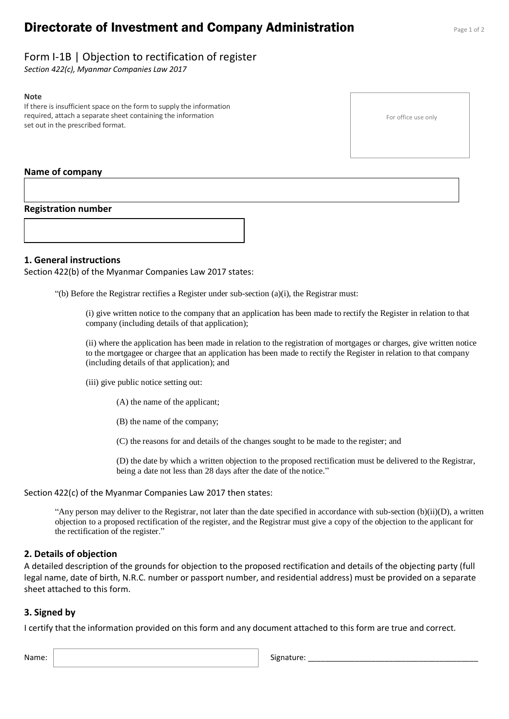# **Directorate of Investment and Company Administration** Page 1 of 2

For office use only

# Form I-1B | Objection to rectification of register

*Section 422(c), Myanmar Companies Law 2017*

#### **Note**

If there is insufficient space on the form to supply the information required, attach a separate sheet containing the information set out in the prescribed format.

### **Name of company**

### **Registration number**

### **1. General instructions**

Section 422(b) of the Myanmar Companies Law 2017 states:

"(b) Before the Registrar rectifies a Register under sub-section (a)(i), the Registrar must:

(i) give written notice to the company that an application has been made to rectify the Register in relation to that company (including details of that application);

(ii) where the application has been made in relation to the registration of mortgages or charges, give written notice to the mortgagee or chargee that an application has been made to rectify the Register in relation to that company (including details of that application); and

(iii) give public notice setting out:

(A) the name of the applicant;

(B) the name of the company;

(C) the reasons for and details of the changes sought to be made to the register; and

(D) the date by which a written objection to the proposed rectification must be delivered to the Registrar, being a date not less than 28 days after the date of the notice."

#### Section 422(c) of the Myanmar Companies Law 2017 then states:

"Any person may deliver to the Registrar, not later than the date specified in accordance with sub-section  $(b)(ii)(D)$ , a written objection to a proposed rectification of the register, and the Registrar must give a copy of the objection to the applicant for the rectification of the register."

## **2. Details of objection**

A detailed description of the grounds for objection to the proposed rectification and details of the objecting party (full legal name, date of birth, N.R.C. number or passport number, and residential address) must be provided on a separate sheet attached to this form.

## **3. Signed by**

I certify that the information provided on this form and any document attached to this form are true and correct.

Name: Signature: \_\_\_\_\_\_\_\_\_\_\_\_\_\_\_\_\_\_\_\_\_\_\_\_\_\_\_\_\_\_\_\_\_\_\_\_\_\_\_\_